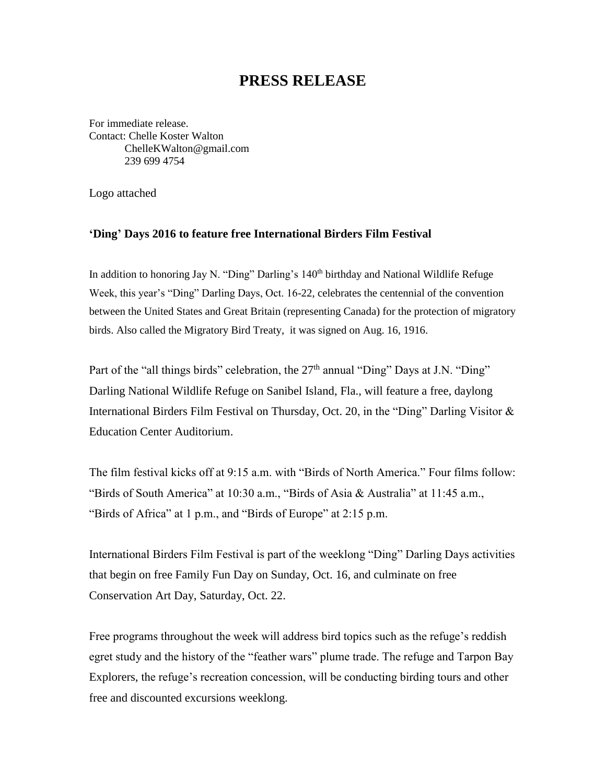## **PRESS RELEASE**

For immediate release. Contact: Chelle Koster Walton [ChelleKWalton@gmail.com](mailto:ChelleKWalton@gmail.com) 239 699 4754

Logo attached

## **'Ding' Days 2016 to feature free International Birders Film Festival**

In addition to honoring Jay N. "Ding" Darling's 140<sup>th</sup> birthday and National Wildlife Refuge Week, this year's "Ding" Darling Days, Oct. 16-22, celebrates the centennial of the convention between the United States and Great Britain (representing Canada) for the protection of migratory birds. Also called the Migratory Bird Treaty, it was signed on Aug. 16, 1916.

Part of the "all things birds" celebration, the  $27<sup>th</sup>$  annual "Ding" Days at J.N. "Ding" Darling National Wildlife Refuge on Sanibel Island, Fla., will feature a free, daylong International Birders Film Festival on Thursday, Oct. 20, in the "Ding" Darling Visitor & Education Center Auditorium.

The film festival kicks off at 9:15 a.m. with "Birds of North America." Four films follow: "Birds of South America" at 10:30 a.m., "Birds of Asia & Australia" at 11:45 a.m., "Birds of Africa" at 1 p.m., and "Birds of Europe" at 2:15 p.m.

International Birders Film Festival is part of the weeklong "Ding" Darling Days activities that begin on free Family Fun Day on Sunday, Oct. 16, and culminate on free Conservation Art Day, Saturday, Oct. 22.

Free programs throughout the week will address bird topics such as the refuge's reddish egret study and the history of the "feather wars" plume trade. The refuge and Tarpon Bay Explorers, the refuge's recreation concession, will be conducting birding tours and other free and discounted excursions weeklong.